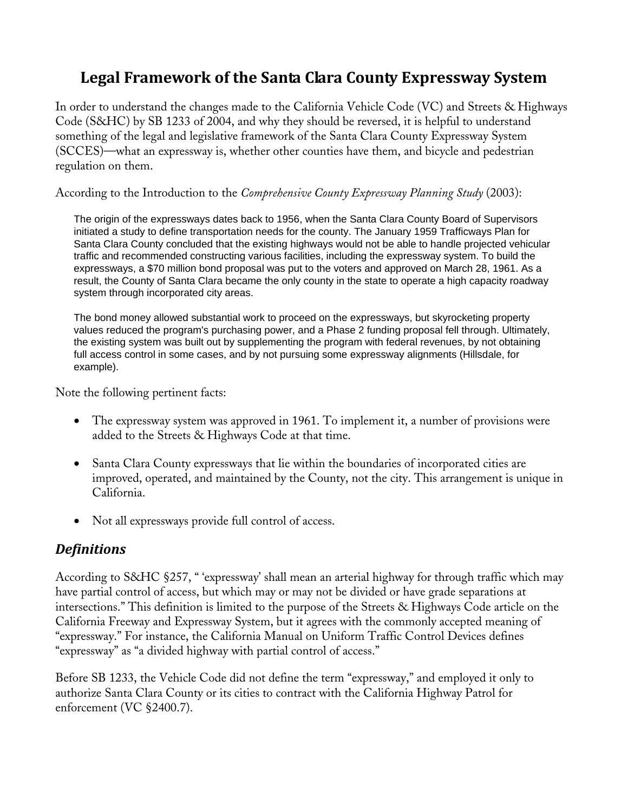# **Legal Framework of the Santa Clara County Expressway System**

In order to understand the changes made to the California Vehicle Code (VC) and Streets & Highways Code (S&HC) by SB 1233 of 2004, and why they should be reversed, it is helpful to understand something of the legal and legislative framework of the Santa Clara County Expressway System (SCCES)—what an expressway is, whether other counties have them, and bicycle and pedestrian regulation on them.

According to the Introduction to the *Comprehensive County Expressway Planning Study* (2003):

The origin of the expressways dates back to 1956, when the Santa Clara County Board of Supervisors initiated a study to define transportation needs for the county. The January 1959 Trafficways Plan for Santa Clara County concluded that the existing highways would not be able to handle projected vehicular traffic and recommended constructing various facilities, including the expressway system. To build the expressways, a \$70 million bond proposal was put to the voters and approved on March 28, 1961. As a result, the County of Santa Clara became the only county in the state to operate a high capacity roadway system through incorporated city areas.

The bond money allowed substantial work to proceed on the expressways, but skyrocketing property values reduced the program's purchasing power, and a Phase 2 funding proposal fell through. Ultimately, the existing system was built out by supplementing the program with federal revenues, by not obtaining full access control in some cases, and by not pursuing some expressway alignments (Hillsdale, for example).

Note the following pertinent facts:

- The expressway system was approved in 1961. To implement it, a number of provisions were added to the Streets & Highways Code at that time.
- Santa Clara County expressways that lie within the boundaries of incorporated cities are improved, operated, and maintained by the County, not the city. This arrangement is unique in California.
- Not all expressways provide full control of access.

#### *Definitions*

According to S&HC §257, " 'expressway' shall mean an arterial highway for through traffic which may have partial control of access, but which may or may not be divided or have grade separations at intersections." This definition is limited to the purpose of the Streets & Highways Code article on the California Freeway and Expressway System, but it agrees with the commonly accepted meaning of "expressway." For instance, the California Manual on Uniform Traffic Control Devices defines "expressway" as "a divided highway with partial control of access."

Before SB 1233, the Vehicle Code did not define the term "expressway," and employed it only to authorize Santa Clara County or its cities to contract with the California Highway Patrol for enforcement (VC §2400.7).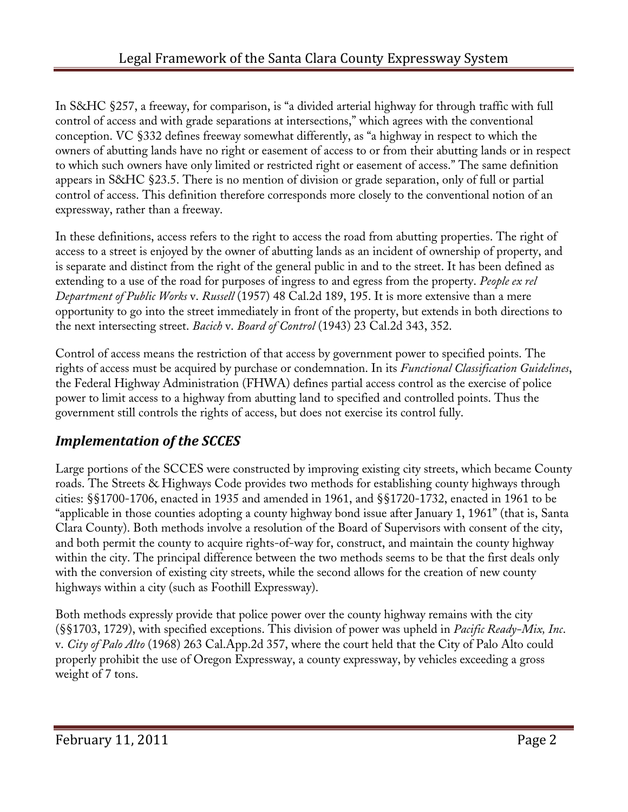In S&HC §257, a freeway, for comparison, is "a divided arterial highway for through traffic with full control of access and with grade separations at intersections," which agrees with the conventional conception. VC §332 defines freeway somewhat differently, as "a highway in respect to which the owners of abutting lands have no right or easement of access to or from their abutting lands or in respect to which such owners have only limited or restricted right or easement of access." The same definition appears in S&HC §23.5. There is no mention of division or grade separation, only of full or partial control of access. This definition therefore corresponds more closely to the conventional notion of an expressway, rather than a freeway.

In these definitions, access refers to the right to access the road from abutting properties. The right of access to a street is enjoyed by the owner of abutting lands as an incident of ownership of property, and is separate and distinct from the right of the general public in and to the street. It has been defined as extending to a use of the road for purposes of ingress to and egress from the property. *People ex rel Department of Public Works* v. *Russell* (1957) 48 Cal.2d 189, 195. It is more extensive than a mere opportunity to go into the street immediately in front of the property, but extends in both directions to the next intersecting street. *Bacich* v. *Board of Control* (1943) 23 Cal.2d 343, 352.

Control of access means the restriction of that access by government power to specified points. The rights of access must be acquired by purchase or condemnation. In its *Functional Classification Guidelines*, the Federal Highway Administration (FHWA) defines partial access control as the exercise of police power to limit access to a highway from abutting land to specified and controlled points. Thus the government still controls the rights of access, but does not exercise its control fully.

# *Implementation of the SCCES*

Large portions of the SCCES were constructed by improving existing city streets, which became County roads. The Streets & Highways Code provides two methods for establishing county highways through cities: §§1700-1706, enacted in 1935 and amended in 1961, and §§1720-1732, enacted in 1961 to be "applicable in those counties adopting a county highway bond issue after January 1, 1961" (that is, Santa Clara County). Both methods involve a resolution of the Board of Supervisors with consent of the city, and both permit the county to acquire rights-of-way for, construct, and maintain the county highway within the city. The principal difference between the two methods seems to be that the first deals only with the conversion of existing city streets, while the second allows for the creation of new county highways within a city (such as Foothill Expressway).

Both methods expressly provide that police power over the county highway remains with the city (§§1703, 1729), with specified exceptions. This division of power was upheld in *Pacific Ready-Mix, Inc*. v. *City of Palo Alto* (1968) 263 Cal.App.2d 357, where the court held that the City of Palo Alto could properly prohibit the use of Oregon Expressway, a county expressway, by vehicles exceeding a gross weight of 7 tons.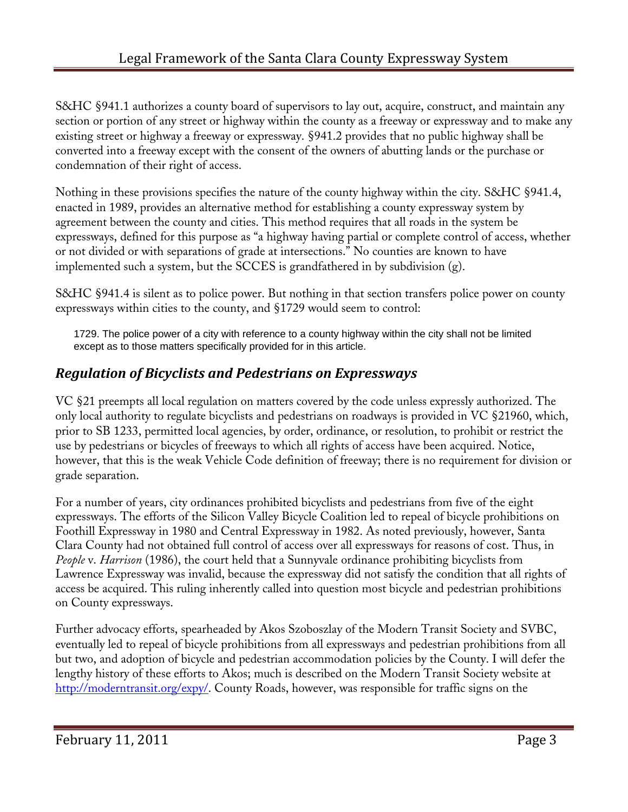S&HC §941.1 authorizes a county board of supervisors to lay out, acquire, construct, and maintain any section or portion of any street or highway within the county as a freeway or expressway and to make any existing street or highway a freeway or expressway. §941.2 provides that no public highway shall be converted into a freeway except with the consent of the owners of abutting lands or the purchase or condemnation of their right of access.

Nothing in these provisions specifies the nature of the county highway within the city. S&HC §941.4, enacted in 1989, provides an alternative method for establishing a county expressway system by agreement between the county and cities. This method requires that all roads in the system be expressways, defined for this purpose as "a highway having partial or complete control of access, whether or not divided or with separations of grade at intersections." No counties are known to have implemented such a system, but the SCCES is grandfathered in by subdivision (g).

S&HC §941.4 is silent as to police power. But nothing in that section transfers police power on county expressways within cities to the county, and §1729 would seem to control:

1729. The police power of a city with reference to a county highway within the city shall not be limited except as to those matters specifically provided for in this article.

## *Regulation of Bicyclists and Pedestrians on Expressways*

VC §21 preempts all local regulation on matters covered by the code unless expressly authorized. The only local authority to regulate bicyclists and pedestrians on roadways is provided in VC §21960, which, prior to SB 1233, permitted local agencies, by order, ordinance, or resolution, to prohibit or restrict the use by pedestrians or bicycles of freeways to which all rights of access have been acquired. Notice, however, that this is the weak Vehicle Code definition of freeway; there is no requirement for division or grade separation.

For a number of years, city ordinances prohibited bicyclists and pedestrians from five of the eight expressways. The efforts of the Silicon Valley Bicycle Coalition led to repeal of bicycle prohibitions on Foothill Expressway in 1980 and Central Expressway in 1982. As noted previously, however, Santa Clara County had not obtained full control of access over all expressways for reasons of cost. Thus, in *People* v. *Harrison* (1986), the court held that a Sunnyvale ordinance prohibiting bicyclists from Lawrence Expressway was invalid, because the expressway did not satisfy the condition that all rights of access be acquired. This ruling inherently called into question most bicycle and pedestrian prohibitions on County expressways.

Further advocacy efforts, spearheaded by Akos Szoboszlay of the Modern Transit Society and SVBC, eventually led to repeal of bicycle prohibitions from all expressways and pedestrian prohibitions from all but two, and adoption of bicycle and pedestrian accommodation policies by the County. I will defer the lengthy history of these efforts to Akos; much is described on the Modern Transit Society website at http://moderntransit.org/expy/. County Roads, however, was responsible for traffic signs on the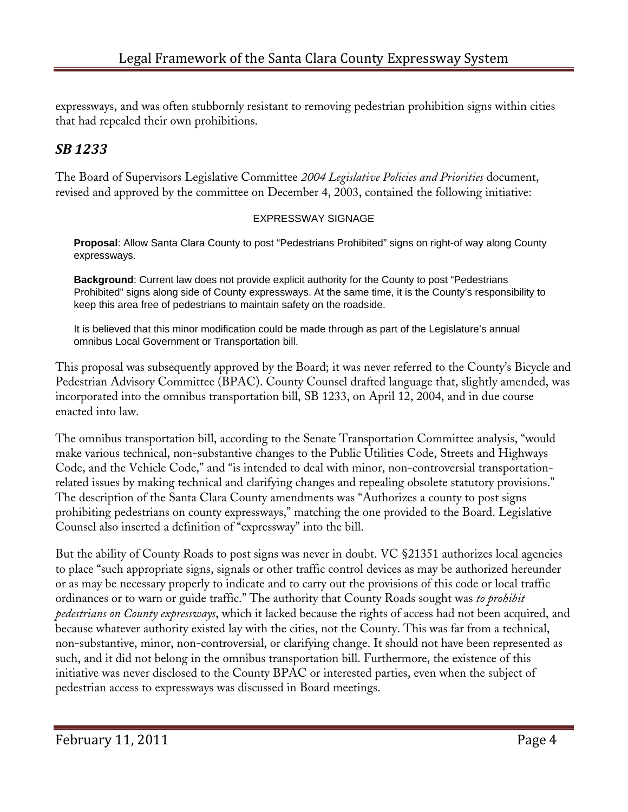expressways, and was often stubbornly resistant to removing pedestrian prohibition signs within cities that had repealed their own prohibitions.

## *SB 1233*

The Board of Supervisors Legislative Committee *2004 Legislative Policies and Priorities* document, revised and approved by the committee on December 4, 2003, contained the following initiative:

#### EXPRESSWAY SIGNAGE

**Proposal**: Allow Santa Clara County to post "Pedestrians Prohibited" signs on right-of way along County expressways.

**Background**: Current law does not provide explicit authority for the County to post "Pedestrians Prohibited" signs along side of County expressways. At the same time, it is the County's responsibility to keep this area free of pedestrians to maintain safety on the roadside.

It is believed that this minor modification could be made through as part of the Legislature's annual omnibus Local Government or Transportation bill.

This proposal was subsequently approved by the Board; it was never referred to the County's Bicycle and Pedestrian Advisory Committee (BPAC). County Counsel drafted language that, slightly amended, was incorporated into the omnibus transportation bill, SB 1233, on April 12, 2004, and in due course enacted into law.

The omnibus transportation bill, according to the Senate Transportation Committee analysis, "would make various technical, non-substantive changes to the Public Utilities Code, Streets and Highways Code, and the Vehicle Code," and "is intended to deal with minor, non-controversial transportationrelated issues by making technical and clarifying changes and repealing obsolete statutory provisions." The description of the Santa Clara County amendments was "Authorizes a county to post signs prohibiting pedestrians on county expressways," matching the one provided to the Board. Legislative Counsel also inserted a definition of "expressway" into the bill.

But the ability of County Roads to post signs was never in doubt. VC §21351 authorizes local agencies to place "such appropriate signs, signals or other traffic control devices as may be authorized hereunder or as may be necessary properly to indicate and to carry out the provisions of this code or local traffic ordinances or to warn or guide traffic." The authority that County Roads sought was *to prohibit pedestrians on County expressways*, which it lacked because the rights of access had not been acquired, and because whatever authority existed lay with the cities, not the County. This was far from a technical, non-substantive, minor, non-controversial, or clarifying change. It should not have been represented as such, and it did not belong in the omnibus transportation bill. Furthermore, the existence of this initiative was never disclosed to the County BPAC or interested parties, even when the subject of pedestrian access to expressways was discussed in Board meetings.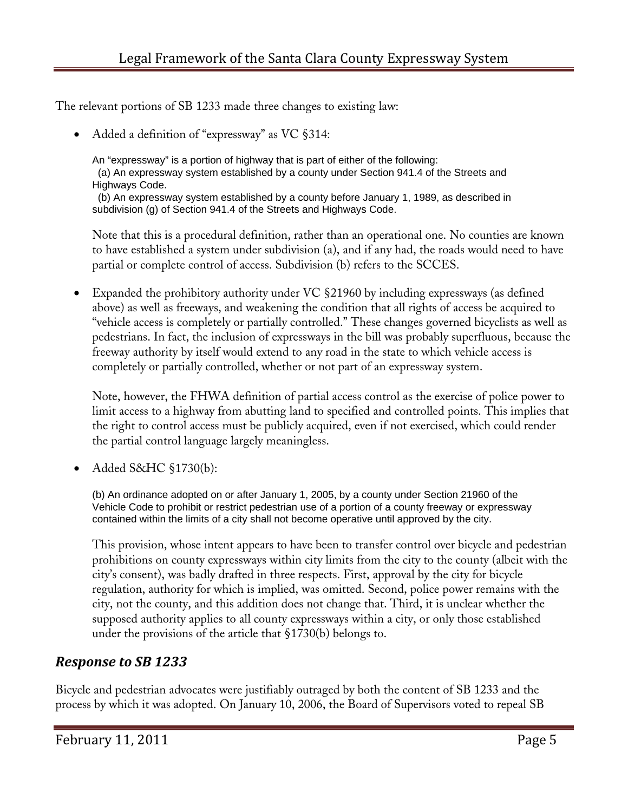The relevant portions of SB 1233 made three changes to existing law:

• Added a definition of "expressway" as VC §314:

An "expressway" is a portion of highway that is part of either of the following: (a) An expressway system established by a county under Section 941.4 of the Streets and Highways Code.

 (b) An expressway system established by a county before January 1, 1989, as described in subdivision (g) of Section 941.4 of the Streets and Highways Code.

Note that this is a procedural definition, rather than an operational one. No counties are known to have established a system under subdivision (a), and if any had, the roads would need to have partial or complete control of access. Subdivision (b) refers to the SCCES.

• Expanded the prohibitory authority under VC §21960 by including expressways (as defined above) as well as freeways, and weakening the condition that all rights of access be acquired to "vehicle access is completely or partially controlled." These changes governed bicyclists as well as pedestrians. In fact, the inclusion of expressways in the bill was probably superfluous, because the freeway authority by itself would extend to any road in the state to which vehicle access is completely or partially controlled, whether or not part of an expressway system.

Note, however, the FHWA definition of partial access control as the exercise of police power to limit access to a highway from abutting land to specified and controlled points. This implies that the right to control access must be publicly acquired, even if not exercised, which could render the partial control language largely meaningless.

• Added S&HC §1730(b):

(b) An ordinance adopted on or after January 1, 2005, by a county under Section 21960 of the Vehicle Code to prohibit or restrict pedestrian use of a portion of a county freeway or expressway contained within the limits of a city shall not become operative until approved by the city.

This provision, whose intent appears to have been to transfer control over bicycle and pedestrian prohibitions on county expressways within city limits from the city to the county (albeit with the city's consent), was badly drafted in three respects. First, approval by the city for bicycle regulation, authority for which is implied, was omitted. Second, police power remains with the city, not the county, and this addition does not change that. Third, it is unclear whether the supposed authority applies to all county expressways within a city, or only those established under the provisions of the article that §1730(b) belongs to.

#### *Response to SB 1233*

Bicycle and pedestrian advocates were justifiably outraged by both the content of SB 1233 and the process by which it was adopted. On January 10, 2006, the Board of Supervisors voted to repeal SB